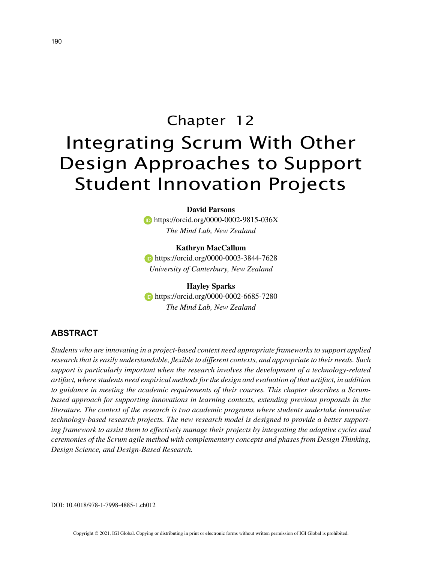**David Parsons https://orcid.org/0000-0002-9815-036X** *The Mind Lab, New Zealand*

**Kathryn MacCallum https://orcid.org/0000-0003-3844-7628** *University of Canterbury, New Zealand*

**Hayley Sparks https://orcid.org/0000-0002-6685-7280** *The Mind Lab, New Zealand*

# **ABSTRACT**

*Students who are innovating in a project-based context need appropriate frameworks to support applied research that is easily understandable, flexible to different contexts, and appropriate to their needs. Such support is particularly important when the research involves the development of a technology-related artifact, where students need empirical methods for the design and evaluation of that artifact, in addition to guidance in meeting the academic requirements of their courses. This chapter describes a Scrumbased approach for supporting innovations in learning contexts, extending previous proposals in the literature. The context of the research is two academic programs where students undertake innovative technology-based research projects. The new research model is designed to provide a better supporting framework to assist them to effectively manage their projects by integrating the adaptive cycles and ceremonies of the Scrum agile method with complementary concepts and phases from Design Thinking, Design Science, and Design-Based Research.*

DOI: 10.4018/978-1-7998-4885-1.ch012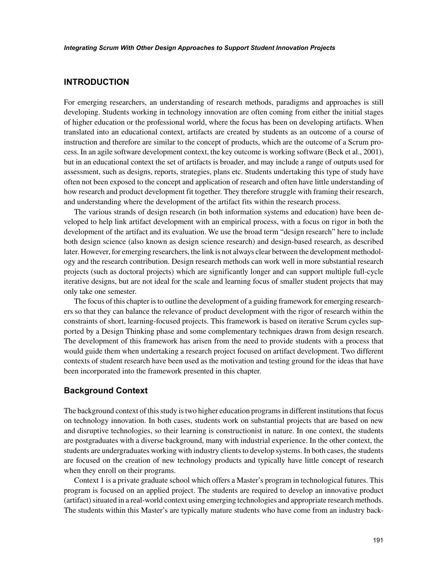## **INTRODUCTION**

For emerging researchers, an understanding of research methods, paradigms and approaches is still developing. Students working in technology innovation are often coming from either the initial stages of higher education or the professional world, where the focus has been on developing artifacts. When translated into an educational context, artifacts are created by students as an outcome of a course of instruction and therefore are similar to the concept of products, which are the outcome of a Scrum process. In an agile software development context, the key outcome is working software (Beck et al., 2001), but in an educational context the set of artifacts is broader, and may include a range of outputs used for assessment, such as designs, reports, strategies, plans etc. Students undertaking this type of study have often not been exposed to the concept and application of research and often have little understanding of how research and product development fit together. They therefore struggle with framing their research, and understanding where the development of the artifact fits within the research process.

The various strands of design research (in both information systems and education) have been developed to help link artifact development with an empirical process, with a focus on rigor in both the development of the artifact and its evaluation. We use the broad term "design research" here to include both design science (also known as design science research) and design-based research, as described later. However, for emerging researchers, the link is not always clear between the development methodology and the research contribution. Design research methods can work well in more substantial research projects (such as doctoral projects) which are significantly longer and can support multiple full-cycle iterative designs, but are not ideal for the scale and learning focus of smaller student projects that may only take one semester.

The focus of this chapter is to outline the development of a guiding framework for emerging researchers so that they can balance the relevance of product development with the rigor of research within the constraints of short, learning-focused projects. This framework is based on iterative Scrum cycles supported by a Design Thinking phase and some complementary techniques drawn from design research. The development of this framework has arisen from the need to provide students with a process that would guide them when undertaking a research project focused on artifact development. Two different contexts of student research have been used as the motivation and testing ground for the ideas that have been incorporated into the framework presented in this chapter.

## **Background Context**

The background context of this study is two higher education programs in different institutions that focus on technology innovation. In both cases, students work on substantial projects that are based on new and disruptive technologies, so their learning is constructionist in nature. In one context, the students are postgraduates with a diverse background, many with industrial experience. In the other context, the students are undergraduates working with industry clients to develop systems. In both cases, the students are focused on the creation of new technology products and typically have little concept of research when they enroll on their programs.

Context 1 is a private graduate school which offers a Master's program in technological futures. This program is focused on an applied project. The students are required to develop an innovative product (artifact) situated in a real-world context using emerging technologies and appropriate research methods. The students within this Master's are typically mature students who have come from an industry back-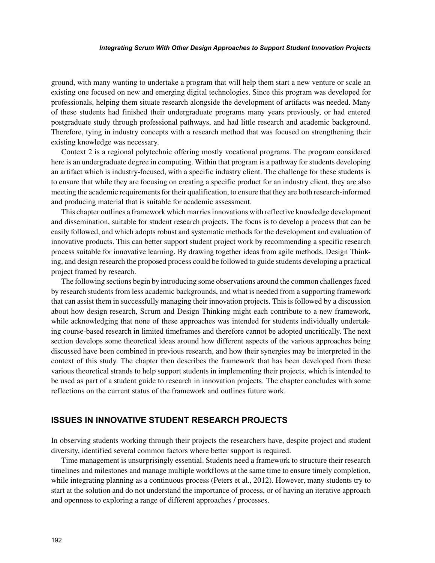ground, with many wanting to undertake a program that will help them start a new venture or scale an existing one focused on new and emerging digital technologies. Since this program was developed for professionals, helping them situate research alongside the development of artifacts was needed. Many of these students had finished their undergraduate programs many years previously, or had entered postgraduate study through professional pathways, and had little research and academic background. Therefore, tying in industry concepts with a research method that was focused on strengthening their existing knowledge was necessary.

Context 2 is a regional polytechnic offering mostly vocational programs. The program considered here is an undergraduate degree in computing. Within that program is a pathway for students developing an artifact which is industry-focused, with a specific industry client. The challenge for these students is to ensure that while they are focusing on creating a specific product for an industry client, they are also meeting the academic requirements for their qualification, to ensure that they are both research-informed and producing material that is suitable for academic assessment.

This chapter outlines a framework which marries innovations with reflective knowledge development and dissemination, suitable for student research projects. The focus is to develop a process that can be easily followed, and which adopts robust and systematic methods for the development and evaluation of innovative products. This can better support student project work by recommending a specific research process suitable for innovative learning. By drawing together ideas from agile methods, Design Thinking, and design research the proposed process could be followed to guide students developing a practical project framed by research.

The following sections begin by introducing some observations around the common challenges faced by research students from less academic backgrounds, and what is needed from a supporting framework that can assist them in successfully managing their innovation projects. This is followed by a discussion about how design research, Scrum and Design Thinking might each contribute to a new framework, while acknowledging that none of these approaches was intended for students individually undertaking course-based research in limited timeframes and therefore cannot be adopted uncritically. The next section develops some theoretical ideas around how different aspects of the various approaches being discussed have been combined in previous research, and how their synergies may be interpreted in the context of this study. The chapter then describes the framework that has been developed from these various theoretical strands to help support students in implementing their projects, which is intended to be used as part of a student guide to research in innovation projects. The chapter concludes with some reflections on the current status of the framework and outlines future work.

#### **ISSUES IN INNOVATIVE STUDENT RESEARCH PROJECTS**

In observing students working through their projects the researchers have, despite project and student diversity, identified several common factors where better support is required.

Time management is unsurprisingly essential. Students need a framework to structure their research timelines and milestones and manage multiple workflows at the same time to ensure timely completion, while integrating planning as a continuous process (Peters et al., 2012). However, many students try to start at the solution and do not understand the importance of process, or of having an iterative approach and openness to exploring a range of different approaches / processes.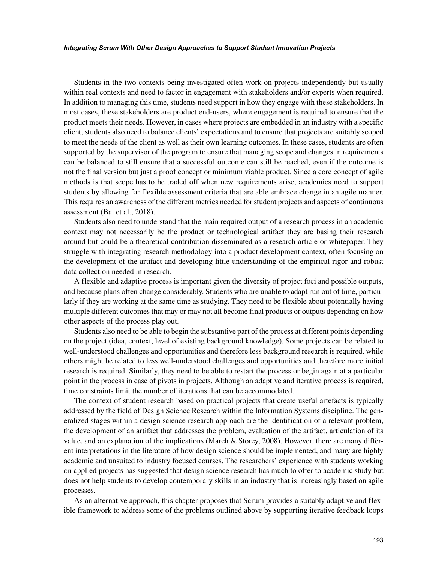Students in the two contexts being investigated often work on projects independently but usually within real contexts and need to factor in engagement with stakeholders and/or experts when required. In addition to managing this time, students need support in how they engage with these stakeholders. In most cases, these stakeholders are product end-users, where engagement is required to ensure that the product meets their needs. However, in cases where projects are embedded in an industry with a specific client, students also need to balance clients' expectations and to ensure that projects are suitably scoped to meet the needs of the client as well as their own learning outcomes. In these cases, students are often supported by the supervisor of the program to ensure that managing scope and changes in requirements can be balanced to still ensure that a successful outcome can still be reached, even if the outcome is not the final version but just a proof concept or minimum viable product. Since a core concept of agile methods is that scope has to be traded off when new requirements arise, academics need to support students by allowing for flexible assessment criteria that are able embrace change in an agile manner. This requires an awareness of the different metrics needed for student projects and aspects of continuous assessment (Bai et al., 2018).

Students also need to understand that the main required output of a research process in an academic context may not necessarily be the product or technological artifact they are basing their research around but could be a theoretical contribution disseminated as a research article or whitepaper. They struggle with integrating research methodology into a product development context, often focusing on the development of the artifact and developing little understanding of the empirical rigor and robust data collection needed in research.

A flexible and adaptive process is important given the diversity of project foci and possible outputs, and because plans often change considerably. Students who are unable to adapt run out of time, particularly if they are working at the same time as studying. They need to be flexible about potentially having multiple different outcomes that may or may not all become final products or outputs depending on how other aspects of the process play out.

Students also need to be able to begin the substantive part of the process at different points depending on the project (idea, context, level of existing background knowledge). Some projects can be related to well-understood challenges and opportunities and therefore less background research is required, while others might be related to less well-understood challenges and opportunities and therefore more initial research is required. Similarly, they need to be able to restart the process or begin again at a particular point in the process in case of pivots in projects. Although an adaptive and iterative process is required, time constraints limit the number of iterations that can be accommodated.

The context of student research based on practical projects that create useful artefacts is typically addressed by the field of Design Science Research within the Information Systems discipline. The generalized stages within a design science research approach are the identification of a relevant problem, the development of an artifact that addresses the problem, evaluation of the artifact, articulation of its value, and an explanation of the implications (March & Storey, 2008). However, there are many different interpretations in the literature of how design science should be implemented, and many are highly academic and unsuited to industry focused courses. The researchers' experience with students working on applied projects has suggested that design science research has much to offer to academic study but does not help students to develop contemporary skills in an industry that is increasingly based on agile processes.

As an alternative approach, this chapter proposes that Scrum provides a suitably adaptive and flexible framework to address some of the problems outlined above by supporting iterative feedback loops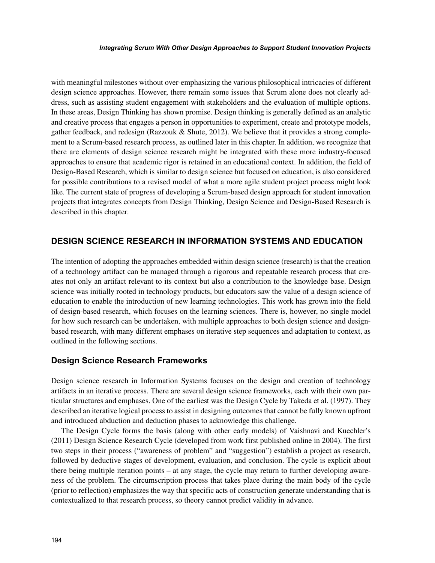with meaningful milestones without over-emphasizing the various philosophical intricacies of different design science approaches. However, there remain some issues that Scrum alone does not clearly address, such as assisting student engagement with stakeholders and the evaluation of multiple options. In these areas, Design Thinking has shown promise. Design thinking is generally defined as an analytic and creative process that engages a person in opportunities to experiment, create and prototype models, gather feedback, and redesign (Razzouk & Shute, 2012). We believe that it provides a strong complement to a Scrum-based research process, as outlined later in this chapter. In addition, we recognize that there are elements of design science research might be integrated with these more industry-focused approaches to ensure that academic rigor is retained in an educational context. In addition, the field of Design-Based Research, which is similar to design science but focused on education, is also considered for possible contributions to a revised model of what a more agile student project process might look like. The current state of progress of developing a Scrum-based design approach for student innovation projects that integrates concepts from Design Thinking, Design Science and Design-Based Research is described in this chapter.

## **DESIGN SCIENCE RESEARCH IN INFORMATION SYSTEMS AND EDUCATION**

The intention of adopting the approaches embedded within design science (research) is that the creation of a technology artifact can be managed through a rigorous and repeatable research process that creates not only an artifact relevant to its context but also a contribution to the knowledge base. Design science was initially rooted in technology products, but educators saw the value of a design science of education to enable the introduction of new learning technologies. This work has grown into the field of design-based research, which focuses on the learning sciences. There is, however, no single model for how such research can be undertaken, with multiple approaches to both design science and designbased research, with many different emphases on iterative step sequences and adaptation to context, as outlined in the following sections.

## **Design Science Research Frameworks**

Design science research in Information Systems focuses on the design and creation of technology artifacts in an iterative process. There are several design science frameworks, each with their own particular structures and emphases. One of the earliest was the Design Cycle by Takeda et al. (1997). They described an iterative logical process to assist in designing outcomes that cannot be fully known upfront and introduced abduction and deduction phases to acknowledge this challenge.

The Design Cycle forms the basis (along with other early models) of Vaishnavi and Kuechler's (2011) Design Science Research Cycle (developed from work first published online in 2004). The first two steps in their process ("awareness of problem" and "suggestion") establish a project as research, followed by deductive stages of development, evaluation, and conclusion. The cycle is explicit about there being multiple iteration points – at any stage, the cycle may return to further developing awareness of the problem. The circumscription process that takes place during the main body of the cycle (prior to reflection) emphasizes the way that specific acts of construction generate understanding that is contextualized to that research process, so theory cannot predict validity in advance.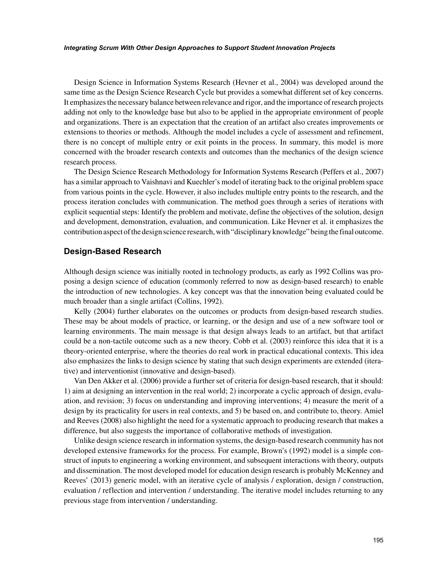Design Science in Information Systems Research (Hevner et al., 2004) was developed around the same time as the Design Science Research Cycle but provides a somewhat different set of key concerns. It emphasizes the necessary balance between relevance and rigor, and the importance of research projects adding not only to the knowledge base but also to be applied in the appropriate environment of people and organizations. There is an expectation that the creation of an artifact also creates improvements or extensions to theories or methods. Although the model includes a cycle of assessment and refinement, there is no concept of multiple entry or exit points in the process. In summary, this model is more concerned with the broader research contexts and outcomes than the mechanics of the design science research process.

The Design Science Research Methodology for Information Systems Research (Peffers et al., 2007) has a similar approach to Vaishnavi and Kuechler's model of iterating back to the original problem space from various points in the cycle. However, it also includes multiple entry points to the research, and the process iteration concludes with communication. The method goes through a series of iterations with explicit sequential steps: Identify the problem and motivate, define the objectives of the solution, design and development, demonstration, evaluation, and communication. Like Hevner et al. it emphasizes the contribution aspect of the design science research, with "disciplinary knowledge" being the final outcome.

#### **Design-Based Research**

Although design science was initially rooted in technology products, as early as 1992 Collins was proposing a design science of education (commonly referred to now as design-based research) to enable the introduction of new technologies. A key concept was that the innovation being evaluated could be much broader than a single artifact (Collins, 1992).

Kelly (2004) further elaborates on the outcomes or products from design-based research studies. These may be about models of practice, or learning, or the design and use of a new software tool or learning environments. The main message is that design always leads to an artifact, but that artifact could be a non-tactile outcome such as a new theory. Cobb et al. (2003) reinforce this idea that it is a theory-oriented enterprise, where the theories do real work in practical educational contexts. This idea also emphasizes the links to design science by stating that such design experiments are extended (iterative) and interventionist (innovative and design-based).

Van Den Akker et al. (2006) provide a further set of criteria for design-based research, that it should: 1) aim at designing an intervention in the real world; 2) incorporate a cyclic approach of design, evaluation, and revision; 3) focus on understanding and improving interventions; 4) measure the merit of a design by its practicality for users in real contexts, and 5) be based on, and contribute to, theory. Amiel and Reeves (2008) also highlight the need for a systematic approach to producing research that makes a difference, but also suggests the importance of collaborative methods of investigation.

Unlike design science research in information systems, the design-based research community has not developed extensive frameworks for the process. For example, Brown's (1992) model is a simple construct of inputs to engineering a working environment, and subsequent interactions with theory, outputs and dissemination. The most developed model for education design research is probably McKenney and Reeves' (2013) generic model, with an iterative cycle of analysis / exploration, design / construction, evaluation / reflection and intervention / understanding. The iterative model includes returning to any previous stage from intervention / understanding.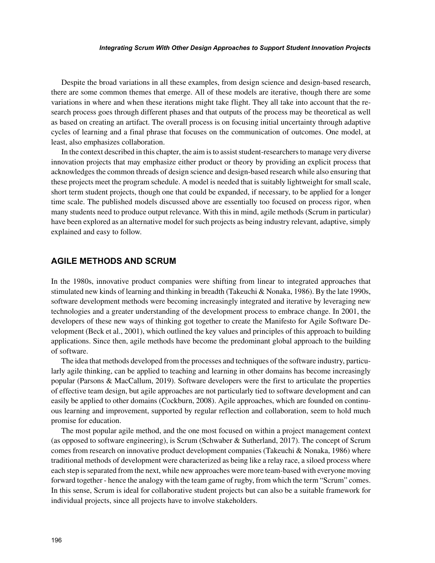Despite the broad variations in all these examples, from design science and design-based research, there are some common themes that emerge. All of these models are iterative, though there are some variations in where and when these iterations might take flight. They all take into account that the research process goes through different phases and that outputs of the process may be theoretical as well as based on creating an artifact. The overall process is on focusing initial uncertainty through adaptive cycles of learning and a final phrase that focuses on the communication of outcomes. One model, at least, also emphasizes collaboration.

In the context described in this chapter, the aim is to assist student-researchers to manage very diverse innovation projects that may emphasize either product or theory by providing an explicit process that acknowledges the common threads of design science and design-based research while also ensuring that these projects meet the program schedule. A model is needed that is suitably lightweight for small scale, short term student projects, though one that could be expanded, if necessary, to be applied for a longer time scale. The published models discussed above are essentially too focused on process rigor, when many students need to produce output relevance. With this in mind, agile methods (Scrum in particular) have been explored as an alternative model for such projects as being industry relevant, adaptive, simply explained and easy to follow.

#### **AGILE METHODS AND SCRUM**

In the 1980s, innovative product companies were shifting from linear to integrated approaches that stimulated new kinds of learning and thinking in breadth (Takeuchi & Nonaka, 1986). By the late 1990s, software development methods were becoming increasingly integrated and iterative by leveraging new technologies and a greater understanding of the development process to embrace change. In 2001, the developers of these new ways of thinking got together to create the Manifesto for Agile Software Development (Beck et al., 2001), which outlined the key values and principles of this approach to building applications. Since then, agile methods have become the predominant global approach to the building of software.

The idea that methods developed from the processes and techniques of the software industry, particularly agile thinking, can be applied to teaching and learning in other domains has become increasingly popular (Parsons & MacCallum, 2019). Software developers were the first to articulate the properties of effective team design, but agile approaches are not particularly tied to software development and can easily be applied to other domains (Cockburn, 2008). Agile approaches, which are founded on continuous learning and improvement, supported by regular reflection and collaboration, seem to hold much promise for education.

The most popular agile method, and the one most focused on within a project management context (as opposed to software engineering), is Scrum (Schwaber & Sutherland, 2017). The concept of Scrum comes from research on innovative product development companies (Takeuchi & Nonaka, 1986) where traditional methods of development were characterized as being like a relay race, a siloed process where each step is separated from the next, while new approaches were more team-based with everyone moving forward together - hence the analogy with the team game of rugby, from which the term "Scrum" comes. In this sense, Scrum is ideal for collaborative student projects but can also be a suitable framework for individual projects, since all projects have to involve stakeholders.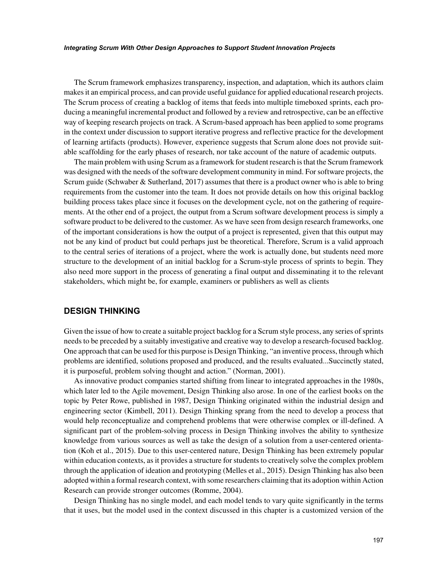The Scrum framework emphasizes transparency, inspection, and adaptation, which its authors claim makes it an empirical process, and can provide useful guidance for applied educational research projects. The Scrum process of creating a backlog of items that feeds into multiple timeboxed sprints, each producing a meaningful incremental product and followed by a review and retrospective, can be an effective way of keeping research projects on track. A Scrum-based approach has been applied to some programs in the context under discussion to support iterative progress and reflective practice for the development of learning artifacts (products). However, experience suggests that Scrum alone does not provide suitable scaffolding for the early phases of research, nor take account of the nature of academic outputs.

The main problem with using Scrum as a framework for student research is that the Scrum framework was designed with the needs of the software development community in mind. For software projects, the Scrum guide (Schwaber & Sutherland, 2017) assumes that there is a product owner who is able to bring requirements from the customer into the team. It does not provide details on how this original backlog building process takes place since it focuses on the development cycle, not on the gathering of requirements. At the other end of a project, the output from a Scrum software development process is simply a software product to be delivered to the customer. As we have seen from design research frameworks, one of the important considerations is how the output of a project is represented, given that this output may not be any kind of product but could perhaps just be theoretical. Therefore, Scrum is a valid approach to the central series of iterations of a project, where the work is actually done, but students need more structure to the development of an initial backlog for a Scrum-style process of sprints to begin. They also need more support in the process of generating a final output and disseminating it to the relevant stakeholders, which might be, for example, examiners or publishers as well as clients

## **DESIGN THINKING**

Given the issue of how to create a suitable project backlog for a Scrum style process, any series of sprints needs to be preceded by a suitably investigative and creative way to develop a research-focused backlog. One approach that can be used for this purpose is Design Thinking, "an inventive process, through which problems are identified, solutions proposed and produced, and the results evaluated...Succinctly stated, it is purposeful, problem solving thought and action." (Norman, 2001).

As innovative product companies started shifting from linear to integrated approaches in the 1980s, which later led to the Agile movement, Design Thinking also arose. In one of the earliest books on the topic by Peter Rowe, published in 1987, Design Thinking originated within the industrial design and engineering sector (Kimbell, 2011). Design Thinking sprang from the need to develop a process that would help reconceptualize and comprehend problems that were otherwise complex or ill-defined. A significant part of the problem-solving process in Design Thinking involves the ability to synthesize knowledge from various sources as well as take the design of a solution from a user-centered orientation (Koh et al., 2015). Due to this user-centered nature, Design Thinking has been extremely popular within education contexts, as it provides a structure for students to creatively solve the complex problem through the application of ideation and prototyping (Melles et al., 2015). Design Thinking has also been adopted within a formal research context, with some researchers claiming that its adoption within Action Research can provide stronger outcomes (Romme, 2004).

Design Thinking has no single model, and each model tends to vary quite significantly in the terms that it uses, but the model used in the context discussed in this chapter is a customized version of the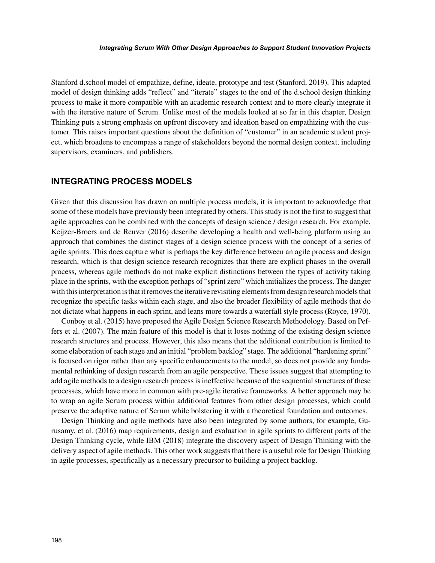Stanford d.school model of empathize, define, ideate, prototype and test (Stanford, 2019). This adapted model of design thinking adds "reflect" and "iterate" stages to the end of the d.school design thinking process to make it more compatible with an academic research context and to more clearly integrate it with the iterative nature of Scrum. Unlike most of the models looked at so far in this chapter, Design Thinking puts a strong emphasis on upfront discovery and ideation based on empathizing with the customer. This raises important questions about the definition of "customer" in an academic student project, which broadens to encompass a range of stakeholders beyond the normal design context, including supervisors, examiners, and publishers.

## **INTEGRATING PROCESS MODELS**

Given that this discussion has drawn on multiple process models, it is important to acknowledge that some of these models have previously been integrated by others. This study is not the first to suggest that agile approaches can be combined with the concepts of design science / design research. For example, Keijzer-Broers and de Reuver (2016) describe developing a health and well-being platform using an approach that combines the distinct stages of a design science process with the concept of a series of agile sprints. This does capture what is perhaps the key difference between an agile process and design research, which is that design science research recognizes that there are explicit phases in the overall process, whereas agile methods do not make explicit distinctions between the types of activity taking place in the sprints, with the exception perhaps of "sprint zero" which initializes the process. The danger with this interpretation is that it removes the iterative revisiting elements from design research models that recognize the specific tasks within each stage, and also the broader flexibility of agile methods that do not dictate what happens in each sprint, and leans more towards a waterfall style process (Royce, 1970).

Conboy et al. (2015) have proposed the Agile Design Science Research Methodology. Based on Peffers et al. (2007). The main feature of this model is that it loses nothing of the existing design science research structures and process. However, this also means that the additional contribution is limited to some elaboration of each stage and an initial "problem backlog" stage. The additional "hardening sprint" is focused on rigor rather than any specific enhancements to the model, so does not provide any fundamental rethinking of design research from an agile perspective. These issues suggest that attempting to add agile methods to a design research process is ineffective because of the sequential structures of these processes, which have more in common with pre-agile iterative frameworks. A better approach may be to wrap an agile Scrum process within additional features from other design processes, which could preserve the adaptive nature of Scrum while bolstering it with a theoretical foundation and outcomes.

Design Thinking and agile methods have also been integrated by some authors, for example, Gurusamy, et al. (2016) map requirements, design and evaluation in agile sprints to different parts of the Design Thinking cycle, while IBM (2018) integrate the discovery aspect of Design Thinking with the delivery aspect of agile methods. This other work suggests that there is a useful role for Design Thinking in agile processes, specifically as a necessary precursor to building a project backlog.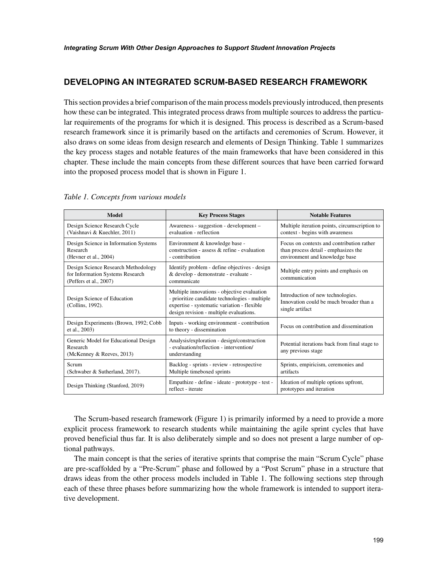# **DEVELOPING AN INTEGRATED SCRUM-BASED RESEARCH FRAMEWORK**

This section provides a brief comparison of the main process models previously introduced, then presents how these can be integrated. This integrated process draws from multiple sources to address the particular requirements of the programs for which it is designed. This process is described as a Scrum-based research framework since it is primarily based on the artifacts and ceremonies of Scrum. However, it also draws on some ideas from design research and elements of Design Thinking. Table 1 summarizes the key process stages and notable features of the main frameworks that have been considered in this chapter. These include the main concepts from these different sources that have been carried forward into the proposed process model that is shown in Figure 1.

| <b>Model</b>                                                                                      | <b>Key Process Stages</b>                                                                                                                                                               | <b>Notable Features</b>                                                                                             |
|---------------------------------------------------------------------------------------------------|-----------------------------------------------------------------------------------------------------------------------------------------------------------------------------------------|---------------------------------------------------------------------------------------------------------------------|
| Design Science Research Cycle<br>(Vaishnavi & Kuechler, 2011)                                     | Awareness - suggestion - development -<br>evaluation - reflection                                                                                                                       | Multiple iteration points, circumscription to<br>context - begins with awareness                                    |
| Design Science in Information Systems<br>Research<br>(Hevner et al., 2004)                        | Environment & knowledge base -<br>construction - assess & refine - evaluation<br>- contribution                                                                                         | Focus on contexts and contribution rather<br>than process detail - emphasizes the<br>environment and knowledge base |
| Design Science Research Methodology<br>for Information Systems Research<br>(Peffers et al., 2007) | Identify problem - define objectives - design<br>& develop - demonstrate - evaluate -<br>communicate                                                                                    | Multiple entry points and emphasis on<br>communication                                                              |
| Design Science of Education<br>(Collins, 1992).                                                   | Multiple innovations - objective evaluation<br>- prioritize candidate technologies - multiple<br>expertise - systematic variation - flexible<br>design revision - multiple evaluations. | Introduction of new technologies.<br>Innovation could be much broader than a<br>single artifact                     |
| Design Experiments (Brown, 1992; Cobb<br>et al., 2003)                                            | Inputs - working environment - contribution<br>to theory - dissemination                                                                                                                | Focus on contribution and dissemination                                                                             |
| Generic Model for Educational Design<br>Research<br>(McKenney & Reeves, 2013)                     | Analysis/exploration - design/construction<br>- evaluation/reflection - intervention/<br>understanding                                                                                  | Potential iterations back from final stage to<br>any previous stage                                                 |
| Scrum<br>(Schwaber & Sutherland, 2017).                                                           | Backlog - sprints - review - retrospective<br>Multiple timeboxed sprints                                                                                                                | Sprints, empiricism, ceremonies and<br>artifacts                                                                    |
| Design Thinking (Stanford, 2019)                                                                  | Empathize - define - ideate - prototype - test -<br>reflect - iterate                                                                                                                   | Ideation of multiple options upfront,<br>prototypes and iteration                                                   |

*Table 1. Concepts from various models*

The Scrum-based research framework (Figure 1) is primarily informed by a need to provide a more explicit process framework to research students while maintaining the agile sprint cycles that have proved beneficial thus far. It is also deliberately simple and so does not present a large number of optional pathways.

The main concept is that the series of iterative sprints that comprise the main "Scrum Cycle" phase are pre-scaffolded by a "Pre-Scrum" phase and followed by a "Post Scrum" phase in a structure that draws ideas from the other process models included in Table 1. The following sections step through each of these three phases before summarizing how the whole framework is intended to support iterative development.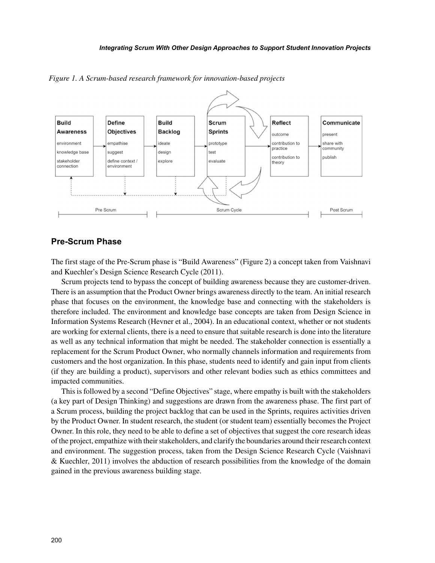

*Figure 1. A Scrum-based research framework for innovation-based projects*

#### **Pre-Scrum Phase**

The first stage of the Pre-Scrum phase is "Build Awareness" (Figure 2) a concept taken from Vaishnavi and Kuechler's Design Science Research Cycle (2011).

Scrum projects tend to bypass the concept of building awareness because they are customer-driven. There is an assumption that the Product Owner brings awareness directly to the team. An initial research phase that focuses on the environment, the knowledge base and connecting with the stakeholders is therefore included. The environment and knowledge base concepts are taken from Design Science in Information Systems Research (Hevner et al., 2004). In an educational context, whether or not students are working for external clients, there is a need to ensure that suitable research is done into the literature as well as any technical information that might be needed. The stakeholder connection is essentially a replacement for the Scrum Product Owner, who normally channels information and requirements from customers and the host organization. In this phase, students need to identify and gain input from clients (if they are building a product), supervisors and other relevant bodies such as ethics committees and impacted communities.

This is followed by a second "Define Objectives" stage, where empathy is built with the stakeholders (a key part of Design Thinking) and suggestions are drawn from the awareness phase. The first part of a Scrum process, building the project backlog that can be used in the Sprints, requires activities driven by the Product Owner. In student research, the student (or student team) essentially becomes the Project Owner. In this role, they need to be able to define a set of objectives that suggest the core research ideas of the project, empathize with their stakeholders, and clarify the boundaries around their research context and environment. The suggestion process, taken from the Design Science Research Cycle (Vaishnavi & Kuechler, 2011) involves the abduction of research possibilities from the knowledge of the domain gained in the previous awareness building stage.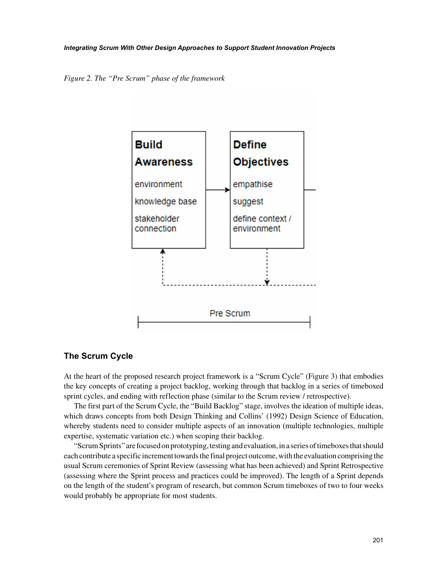*Figure 2. The "Pre Scrum" phase of the framework*



# **The Scrum Cycle**

At the heart of the proposed research project framework is a "Scrum Cycle" (Figure 3) that embodies the key concepts of creating a project backlog, working through that backlog in a series of timeboxed sprint cycles, and ending with reflection phase (similar to the Scrum review / retrospective).

The first part of the Scrum Cycle, the "Build Backlog" stage, involves the ideation of multiple ideas, which draws concepts from both Design Thinking and Collins' (1992) Design Science of Education, whereby students need to consider multiple aspects of an innovation (multiple technologies, multiple expertise, systematic variation etc.) when scoping their backlog.

"Scrum Sprints" are focused on prototyping, testing and evaluation, in a series of timeboxes that should each contribute a specific increment towards the final project outcome, with the evaluation comprising the usual Scrum ceremonies of Sprint Review (assessing what has been achieved) and Sprint Retrospective (assessing where the Sprint process and practices could be improved). The length of a Sprint depends on the length of the student's program of research, but common Scrum timeboxes of two to four weeks would probably be appropriate for most students.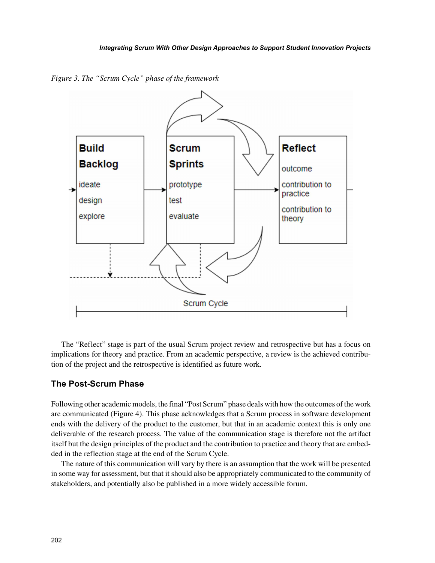*Figure 3. The "Scrum Cycle" phase of the framework*



The "Reflect" stage is part of the usual Scrum project review and retrospective but has a focus on implications for theory and practice. From an academic perspective, a review is the achieved contribution of the project and the retrospective is identified as future work.

## **The Post-Scrum Phase**

Following other academic models, the final "Post Scrum" phase deals with how the outcomes of the work are communicated (Figure 4). This phase acknowledges that a Scrum process in software development ends with the delivery of the product to the customer, but that in an academic context this is only one deliverable of the research process. The value of the communication stage is therefore not the artifact itself but the design principles of the product and the contribution to practice and theory that are embedded in the reflection stage at the end of the Scrum Cycle.

The nature of this communication will vary by there is an assumption that the work will be presented in some way for assessment, but that it should also be appropriately communicated to the community of stakeholders, and potentially also be published in a more widely accessible forum.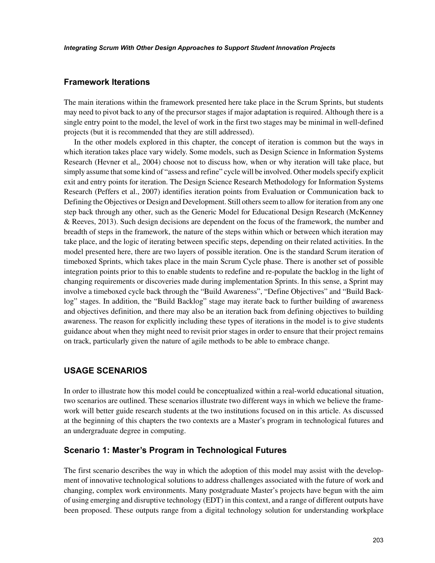## **Framework Iterations**

The main iterations within the framework presented here take place in the Scrum Sprints, but students may need to pivot back to any of the precursor stages if major adaptation is required. Although there is a single entry point to the model, the level of work in the first two stages may be minimal in well-defined projects (but it is recommended that they are still addressed).

In the other models explored in this chapter, the concept of iteration is common but the ways in which iteration takes place vary widely. Some models, such as Design Science in Information Systems Research (Hevner et al,, 2004) choose not to discuss how, when or why iteration will take place, but simply assume that some kind of "assess and refine" cycle will be involved. Other models specify explicit exit and entry points for iteration. The Design Science Research Methodology for Information Systems Research (Peffers et al., 2007) identifies iteration points from Evaluation or Communication back to Defining the Objectives or Design and Development. Still others seem to allow for iteration from any one step back through any other, such as the Generic Model for Educational Design Research (McKenney & Reeves, 2013). Such design decisions are dependent on the focus of the framework, the number and breadth of steps in the framework, the nature of the steps within which or between which iteration may take place, and the logic of iterating between specific steps, depending on their related activities. In the model presented here, there are two layers of possible iteration. One is the standard Scrum iteration of timeboxed Sprints, which takes place in the main Scrum Cycle phase. There is another set of possible integration points prior to this to enable students to redefine and re-populate the backlog in the light of changing requirements or discoveries made during implementation Sprints. In this sense, a Sprint may involve a timeboxed cycle back through the "Build Awareness", "Define Objectives" and "Build Backlog" stages. In addition, the "Build Backlog" stage may iterate back to further building of awareness and objectives definition, and there may also be an iteration back from defining objectives to building awareness. The reason for explicitly including these types of iterations in the model is to give students guidance about when they might need to revisit prior stages in order to ensure that their project remains on track, particularly given the nature of agile methods to be able to embrace change.

## **USAGE SCENARIOS**

In order to illustrate how this model could be conceptualized within a real-world educational situation, two scenarios are outlined. These scenarios illustrate two different ways in which we believe the framework will better guide research students at the two institutions focused on in this article. As discussed at the beginning of this chapters the two contexts are a Master's program in technological futures and an undergraduate degree in computing.

## **Scenario 1: Master's Program in Technological Futures**

The first scenario describes the way in which the adoption of this model may assist with the development of innovative technological solutions to address challenges associated with the future of work and changing, complex work environments. Many postgraduate Master's projects have begun with the aim of using emerging and disruptive technology (EDT) in this context, and a range of different outputs have been proposed. These outputs range from a digital technology solution for understanding workplace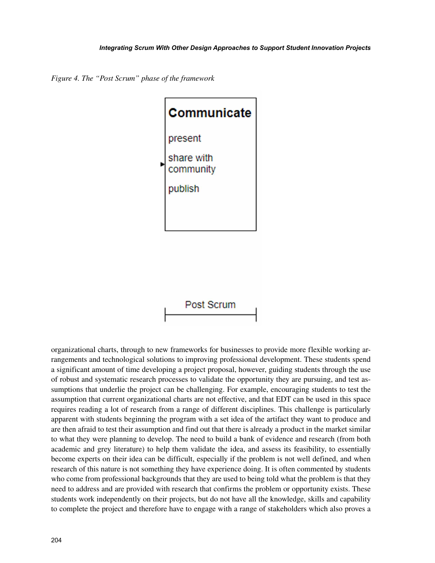*Figure 4. The "Post Scrum" phase of the framework*



organizational charts, through to new frameworks for businesses to provide more flexible working arrangements and technological solutions to improving professional development. These students spend a significant amount of time developing a project proposal, however, guiding students through the use of robust and systematic research processes to validate the opportunity they are pursuing, and test assumptions that underlie the project can be challenging. For example, encouraging students to test the assumption that current organizational charts are not effective, and that EDT can be used in this space requires reading a lot of research from a range of different disciplines. This challenge is particularly apparent with students beginning the program with a set idea of the artifact they want to produce and are then afraid to test their assumption and find out that there is already a product in the market similar to what they were planning to develop. The need to build a bank of evidence and research (from both academic and grey literature) to help them validate the idea, and assess its feasibility, to essentially become experts on their idea can be difficult, especially if the problem is not well defined, and when research of this nature is not something they have experience doing. It is often commented by students who come from professional backgrounds that they are used to being told what the problem is that they need to address and are provided with research that confirms the problem or opportunity exists. These students work independently on their projects, but do not have all the knowledge, skills and capability to complete the project and therefore have to engage with a range of stakeholders which also proves a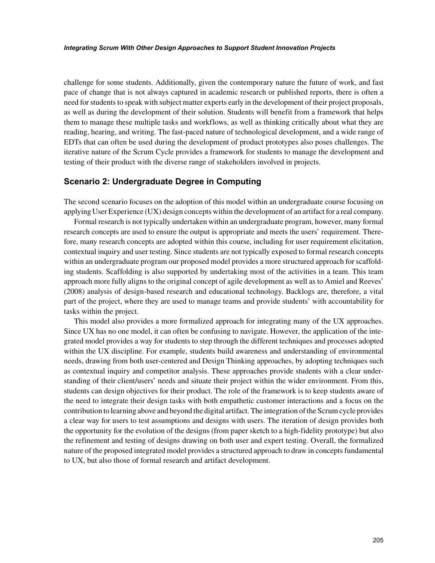challenge for some students. Additionally, given the contemporary nature the future of work, and fast pace of change that is not always captured in academic research or published reports, there is often a need for students to speak with subject matter experts early in the development of their project proposals, as well as during the development of their solution. Students will benefit from a framework that helps them to manage these multiple tasks and workflows, as well as thinking critically about what they are reading, hearing, and writing. The fast-paced nature of technological development, and a wide range of EDTs that can often be used during the development of product prototypes also poses challenges. The iterative nature of the Scrum Cycle provides a framework for students to manage the development and testing of their product with the diverse range of stakeholders involved in projects.

## **Scenario 2: Undergraduate Degree in Computing**

The second scenario focuses on the adoption of this model within an undergraduate course focusing on applying User Experience (UX) design concepts within the development of an artifact for a real company.

Formal research is not typically undertaken within an undergraduate program, however, many formal research concepts are used to ensure the output is appropriate and meets the users' requirement. Therefore, many research concepts are adopted within this course, including for user requirement elicitation, contextual inquiry and user testing. Since students are not typically exposed to formal research concepts within an undergraduate program our proposed model provides a more structured approach for scaffolding students. Scaffolding is also supported by undertaking most of the activities in a team. This team approach more fully aligns to the original concept of agile development as well as to Amiel and Reeves' (2008) analysis of design-based research and educational technology. Backlogs are, therefore, a vital part of the project, where they are used to manage teams and provide students' with accountability for tasks within the project.

This model also provides a more formalized approach for integrating many of the UX approaches. Since UX has no one model, it can often be confusing to navigate. However, the application of the integrated model provides a way for students to step through the different techniques and processes adopted within the UX discipline. For example, students build awareness and understanding of environmental needs, drawing from both user-centered and Design Thinking approaches, by adopting techniques such as contextual inquiry and competitor analysis. These approaches provide students with a clear understanding of their client/users' needs and situate their project within the wider environment. From this, students can design objectives for their product. The role of the framework is to keep students aware of the need to integrate their design tasks with both empathetic customer interactions and a focus on the contribution to learning above and beyond the digital artifact. The integration of the Scrum cycle provides a clear way for users to test assumptions and designs with users. The iteration of design provides both the opportunity for the evolution of the designs (from paper sketch to a high-fidelity prototype) but also the refinement and testing of designs drawing on both user and expert testing. Overall, the formalized nature of the proposed integrated model provides a structured approach to draw in concepts fundamental to UX, but also those of formal research and artifact development.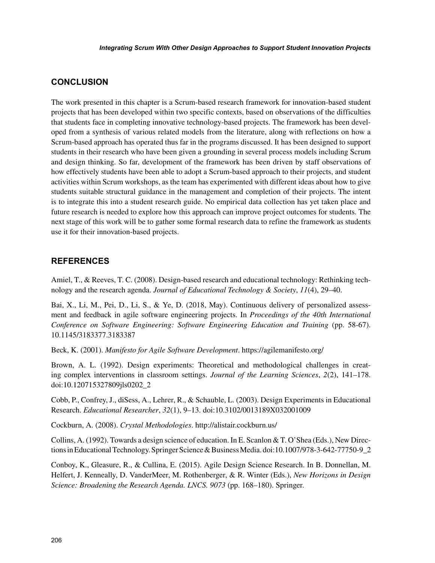# **CONCLUSION**

The work presented in this chapter is a Scrum-based research framework for innovation-based student projects that has been developed within two specific contexts, based on observations of the difficulties that students face in completing innovative technology-based projects. The framework has been developed from a synthesis of various related models from the literature, along with reflections on how a Scrum-based approach has operated thus far in the programs discussed. It has been designed to support students in their research who have been given a grounding in several process models including Scrum and design thinking. So far, development of the framework has been driven by staff observations of how effectively students have been able to adopt a Scrum-based approach to their projects, and student activities within Scrum workshops, as the team has experimented with different ideas about how to give students suitable structural guidance in the management and completion of their projects. The intent is to integrate this into a student research guide. No empirical data collection has yet taken place and future research is needed to explore how this approach can improve project outcomes for students. The next stage of this work will be to gather some formal research data to refine the framework as students use it for their innovation-based projects.

# **REFERENCES**

Amiel, T., & Reeves, T. C. (2008). Design-based research and educational technology: Rethinking technology and the research agenda. *Journal of Educational Technology & Society*, *11*(4), 29–40.

Bai, X., Li, M., Pei, D., Li, S., & Ye, D. (2018, May). Continuous delivery of personalized assessment and feedback in agile software engineering projects. In *Proceedings of the 40th International Conference on Software Engineering: Software Engineering Education and Training* (pp. 58-67). 10.1145/3183377.3183387

Beck, K. (2001). *Manifesto for Agile Software Development*. <https://agilemanifesto.org/>

Brown, A. L. (1992). Design experiments: Theoretical and methodological challenges in creating complex interventions in classroom settings. *Journal of the Learning Sciences*, *2*(2), 141–178. doi:10.120715327809jls0202\_2

Cobb, P., Confrey, J., diSess, A., Lehrer, R., & Schauble, L. (2003). Design Experiments in Educational Research. *Educational Researcher*, *32*(1), 9–13. doi:10.3102/0013189X032001009

Cockburn, A. (2008). *Crystal Methodologies*.<http://alistair.cockburn.us/>

Collins, A. (1992). Towards a design science of education. In E. Scanlon & T. O'Shea (Eds.), New Directions in Educational Technology. Springer Science & Business Media. doi:10.1007/978-3-642-77750-9\_2\_

Conboy, K., Gleasure, R., & Cullina, E. (2015). Agile Design Science Research. In B. Donnellan, M. Helfert, J. Kenneally, D. VanderMeer, M. Rothenberger, & R. Winter (Eds.), *New Horizons in Design Science: Broadening the Research Agenda. LNCS. 9073* (pp. 168–180). Springer.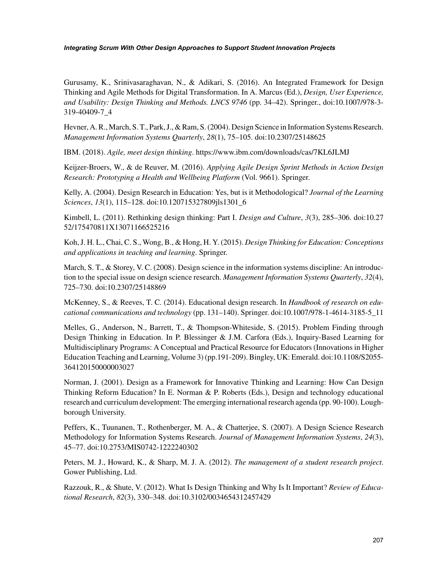Gurusamy, K., Srinivasaraghavan, N., & Adikari, S. (2016). An Integrated Framework for Design Thinking and Agile Methods for Digital Transformation. In A. Marcus (Ed.), *Design, User Experience, and Usability: Design Thinking and Methods. LNCS 9746* (pp. 34–42). Springer., doi:10.1007/978-3- 319-40409-7\_4

Hevner, A. R., March, S. T., Park, J., & Ram, S. (2004). Design Science in Information Systems Research. *Management Information Systems Quarterly*, *28*(1), 75–105. doi:10.2307/25148625

IBM. (2018). *Agile, meet design thinking*. <https://www.ibm.com/downloads/cas/7KL6JLMJ>

Keijzer-Broers, W., & de Reuver, M. (2016). *Applying Agile Design Sprint Methods in Action Design Research: Prototyping a Health and Wellbeing Platform* (Vol. 9661). Springer.

Kelly, A. (2004). Design Research in Education: Yes, but is it Methodological? *Journal of the Learning Sciences*, *13*(1), 115–128. doi:10.120715327809jls1301\_6

Kimbell, L. (2011). Rethinking design thinking: Part I. *Design and Culture*, *3*(3), 285–306. doi:10.27 52/175470811X13071166525216

Koh, J. H. L., Chai, C. S., Wong, B., & Hong, H. Y. (2015). *Design Thinking for Education: Conceptions and applications in teaching and learning*. Springer.

March, S. T., & Storey, V. C. (2008). Design science in the information systems discipline: An introduction to the special issue on design science research. *Management Information Systems Quarterly*, *32*(4), 725–730. doi:10.2307/25148869

McKenney, S., & Reeves, T. C. (2014). Educational design research. In *Handbook of research on educational communications and technology* (pp. 131–140). Springer. doi:10.1007/978-1-4614-3185-5\_11

Melles, G., Anderson, N., Barrett, T., & Thompson-Whiteside, S. (2015). Problem Finding through Design Thinking in Education. In P. Blessinger & J.M. Carfora (Eds.), Inquiry-Based Learning for Multidisciplinary Programs: A Conceptual and Practical Resource for Educators (Innovations in Higher Education Teaching and Learning, Volume 3) (pp.191-209). Bingley, UK: Emerald. doi:10.1108/S2055- 364120150000003027

Norman, J. (2001). Design as a Framework for Innovative Thinking and Learning: How Can Design Thinking Reform Education? In E. Norman & P. Roberts (Eds.), Design and technology educational research and curriculum development: The emerging international research agenda (pp. 90-100). Loughborough University.

Peffers, K., Tuunanen, T., Rothenberger, M. A., & Chatterjee, S. (2007). A Design Science Research Methodology for Information Systems Research. *Journal of Management Information Systems*, *24*(3), 45–77. doi:10.2753/MIS0742-1222240302

Peters, M. J., Howard, K., & Sharp, M. J. A. (2012). *The management of a student research project*. Gower Publishing, Ltd.

Razzouk, R., & Shute, V. (2012). What Is Design Thinking and Why Is It Important? *Review of Educational Research*, *82*(3), 330–348. doi:10.3102/0034654312457429